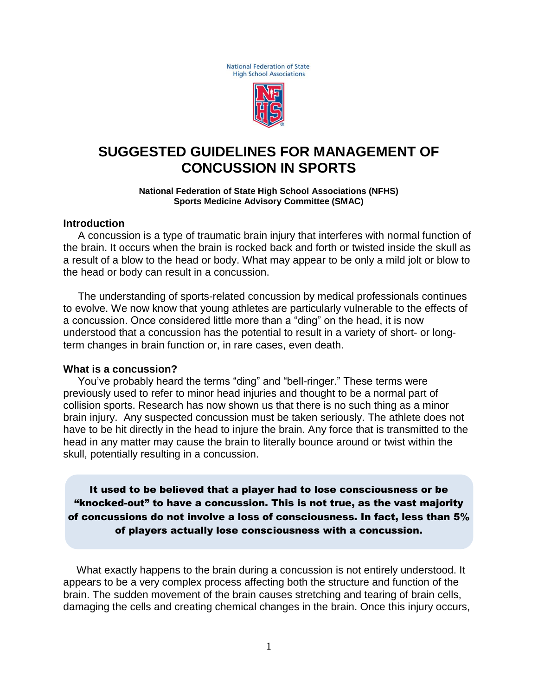National Federation of State **High School Associations** 



## **SUGGESTED GUIDELINES FOR MANAGEMENT OF CONCUSSION IN SPORTS**

#### **National Federation of State High School Associations (NFHS) Sports Medicine Advisory Committee (SMAC)**

#### **Introduction**

 A concussion is a type of traumatic brain injury that interferes with normal function of the brain. It occurs when the brain is rocked back and forth or twisted inside the skull as a result of a blow to the head or body. What may appear to be only a mild jolt or blow to the head or body can result in a concussion.

 The understanding of sports-related concussion by medical professionals continues to evolve. We now know that young athletes are particularly vulnerable to the effects of a concussion. Once considered little more than a "ding" on the head, it is now understood that a concussion has the potential to result in a variety of short- or longterm changes in brain function or, in rare cases, even death.

#### **What is a concussion?**

 You've probably heard the terms "ding" and "bell-ringer." These terms were previously used to refer to minor head injuries and thought to be a normal part of collision sports. Research has now shown us that there is no such thing as a minor brain injury. Any suspected concussion must be taken seriously. The athlete does not have to be hit directly in the head to injure the brain. Any force that is transmitted to the head in any matter may cause the brain to literally bounce around or twist within the skull, potentially resulting in a concussion.

It used to be believed that a player had to lose consciousness or be "knocked-out" to have a concussion. This is not true, as the vast majority of concussions do not involve a loss of consciousness. In fact, less than 5% of players actually lose consciousness with a concussion.

 What exactly happens to the brain during a concussion is not entirely understood. It appears to be a very complex process affecting both the structure and function of the brain. The sudden movement of the brain causes stretching and tearing of brain cells, damaging the cells and creating chemical changes in the brain. Once this injury occurs,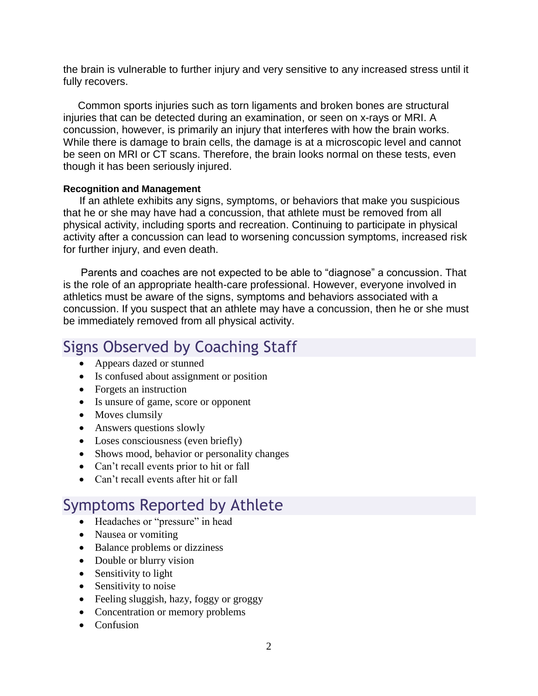the brain is vulnerable to further injury and very sensitive to any increased stress until it fully recovers.

 Common sports injuries such as torn ligaments and broken bones are structural injuries that can be detected during an examination, or seen on x-rays or MRI. A concussion, however, is primarily an injury that interferes with how the brain works. While there is damage to brain cells, the damage is at a microscopic level and cannot be seen on MRI or CT scans. Therefore, the brain looks normal on these tests, even though it has been seriously injured.

#### **Recognition and Management**

 If an athlete exhibits any signs, symptoms, or behaviors that make you suspicious that he or she may have had a concussion, that athlete must be removed from all physical activity, including sports and recreation. Continuing to participate in physical activity after a concussion can lead to worsening concussion symptoms, increased risk for further injury, and even death.

 Parents and coaches are not expected to be able to "diagnose" a concussion. That is the role of an appropriate health-care professional. However, everyone involved in athletics must be aware of the signs, symptoms and behaviors associated with a concussion. If you suspect that an athlete may have a concussion, then he or she must be immediately removed from all physical activity.

# Signs Observed by Coaching Staff

- Appears dazed or stunned
- Is confused about assignment or position
- Forgets an instruction
- Is unsure of game, score or opponent
- Moves clumsily
- Answers questions slowly
- Loses consciousness (even briefly)
- Shows mood, behavior or personality changes
- Can't recall events prior to hit or fall
- Can't recall events after hit or fall

# Symptoms Reported by Athlete

- Headaches or "pressure" in head
- Nausea or vomiting
- Balance problems or dizziness
- Double or blurry vision
- Sensitivity to light
- Sensitivity to noise
- Feeling sluggish, hazy, foggy or groggy
- Concentration or memory problems
- Confusion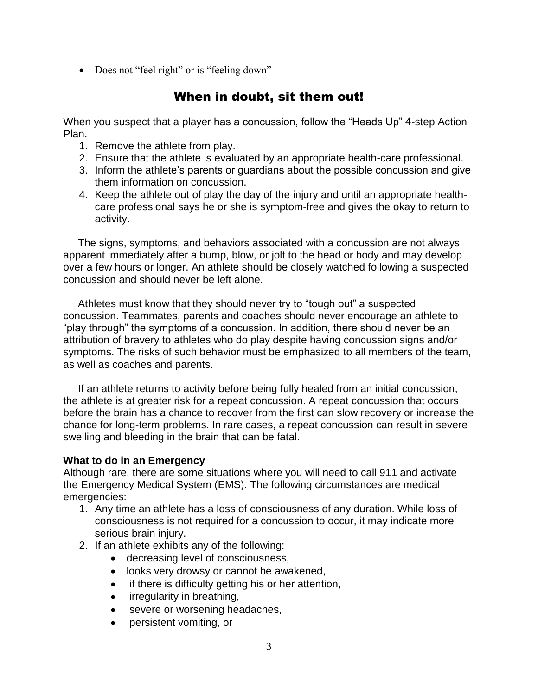• Does not "feel right" or is "feeling down"

### When in doubt, sit them out!

When you suspect that a player has a concussion, follow the "Heads Up" 4-step Action Plan.

- 1. Remove the athlete from play.
- 2. Ensure that the athlete is evaluated by an appropriate health-care professional.
- 3. Inform the athlete's parents or guardians about the possible concussion and give them information on concussion.
- 4. Keep the athlete out of play the day of the injury and until an appropriate healthcare professional says he or she is symptom-free and gives the okay to return to activity.

 The signs, symptoms, and behaviors associated with a concussion are not always apparent immediately after a bump, blow, or jolt to the head or body and may develop over a few hours or longer. An athlete should be closely watched following a suspected concussion and should never be left alone.

 Athletes must know that they should never try to "tough out" a suspected concussion. Teammates, parents and coaches should never encourage an athlete to "play through" the symptoms of a concussion. In addition, there should never be an attribution of bravery to athletes who do play despite having concussion signs and/or symptoms. The risks of such behavior must be emphasized to all members of the team, as well as coaches and parents.

 If an athlete returns to activity before being fully healed from an initial concussion, the athlete is at greater risk for a repeat concussion. A repeat concussion that occurs before the brain has a chance to recover from the first can slow recovery or increase the chance for long-term problems. In rare cases, a repeat concussion can result in severe swelling and bleeding in the brain that can be fatal.

### **What to do in an Emergency**

Although rare, there are some situations where you will need to call 911 and activate the Emergency Medical System (EMS). The following circumstances are medical emergencies:

- 1. Any time an athlete has a loss of consciousness of any duration. While loss of consciousness is not required for a concussion to occur, it may indicate more serious brain injury.
- 2. If an athlete exhibits any of the following:
	- decreasing level of consciousness,
	- looks very drowsy or cannot be awakened,
	- if there is difficulty getting his or her attention,
	- irregularity in breathing,
	- severe or worsening headaches,
	- persistent vomiting, or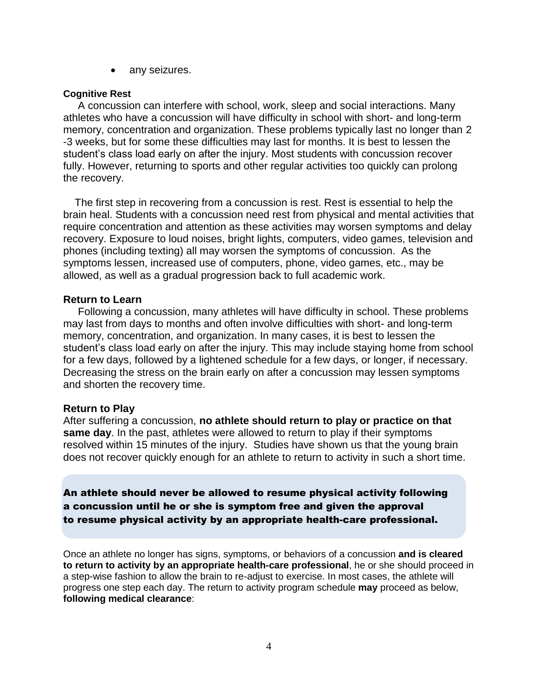• any seizures.

#### **Cognitive Rest**

 A concussion can interfere with school, work, sleep and social interactions. Many athletes who have a concussion will have difficulty in school with short- and long-term memory, concentration and organization. These problems typically last no longer than 2 -3 weeks, but for some these difficulties may last for months. It is best to lessen the student's class load early on after the injury. Most students with concussion recover fully. However, returning to sports and other regular activities too quickly can prolong the recovery.

 The first step in recovering from a concussion is rest. Rest is essential to help the brain heal. Students with a concussion need rest from physical and mental activities that require concentration and attention as these activities may worsen symptoms and delay recovery. Exposure to loud noises, bright lights, computers, video games, television and phones (including texting) all may worsen the symptoms of concussion. As the symptoms lessen, increased use of computers, phone, video games, etc., may be allowed, as well as a gradual progression back to full academic work.

#### **Return to Learn**

 Following a concussion, many athletes will have difficulty in school. These problems may last from days to months and often involve difficulties with short- and long-term memory, concentration, and organization. In many cases, it is best to lessen the student's class load early on after the injury. This may include staying home from school for a few days, followed by a lightened schedule for a few days, or longer, if necessary. Decreasing the stress on the brain early on after a concussion may lessen symptoms and shorten the recovery time.

#### **Return to Play**

After suffering a concussion, **no athlete should return to play or practice on that same day**. In the past, athletes were allowed to return to play if their symptoms resolved within 15 minutes of the injury. Studies have shown us that the young brain does not recover quickly enough for an athlete to return to activity in such a short time.

An athlete should never be allowed to resume physical activity following a concussion until he or she is symptom free and given the approval to resume physical activity by an appropriate health-care professional.

Once an athlete no longer has signs, symptoms, or behaviors of a concussion **and is cleared to return to activity by an appropriate health-care professional**, he or she should proceed in a step-wise fashion to allow the brain to re-adjust to exercise. In most cases, the athlete will progress one step each day. The return to activity program schedule **may** proceed as below, **following medical clearance**: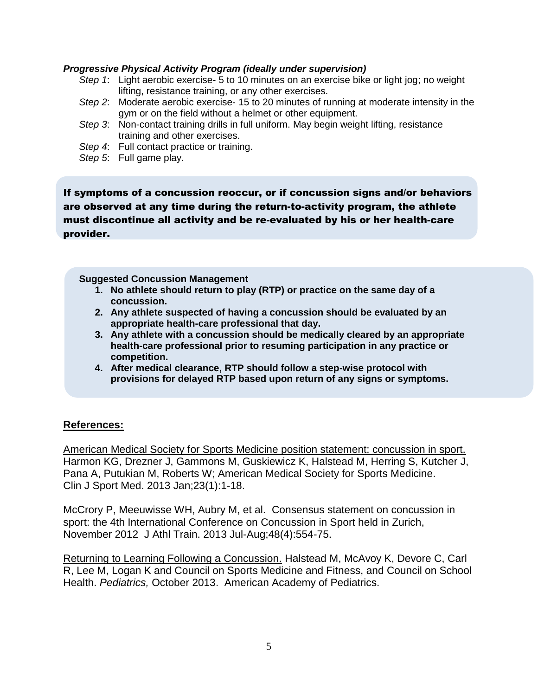#### *Progressive Physical Activity Program (ideally under supervision)*

- *Step 1*: Light aerobic exercise- 5 to 10 minutes on an exercise bike or light jog; no weight lifting, resistance training, or any other exercises.
- *Step 2*: Moderate aerobic exercise- 15 to 20 minutes of running at moderate intensity in the gym or on the field without a helmet or other equipment.
- *Step 3*: Non-contact training drills in full uniform. May begin weight lifting, resistance training and other exercises.
- *Step 4*: Full contact practice or training.
- *Step 5*: Full game play.

If symptoms of a concussion reoccur, or if concussion signs and/or behaviors are observed at any time during the return-to-activity program, the athlete must discontinue all activity and be re-evaluated by his or her health-care provider.

#### **Suggested Concussion Management**

- **1. No athlete should return to play (RTP) or practice on the same day of a concussion.**
- **2. Any athlete suspected of having a concussion should be evaluated by an appropriate health-care professional that day.**
- **3. Any athlete with a concussion should be medically cleared by an appropriate health-care professional prior to resuming participation in any practice or competition.**
- **4. After medical clearance, RTP should follow a step-wise protocol with provisions for delayed RTP based upon return of any signs or symptoms.**

### **References:**

[American Medical Society for Sports Medicine position statement: concussion in sport.](http://www.ncbi.nlm.nih.gov/pubmed/23269325) Harmon KG, Drezner J, Gammons M, Guskiewicz K, Halstead M, Herring S, Kutcher J, Pana A, Putukian M, Roberts W; American Medical Society for Sports Medicine. Clin J Sport Med. 2013 Jan;23(1):1-18.

McCrory P, Meeuwisse WH, Aubry M, et al. Consensus statement on concussion in sport: the 4th International Conference on Concussion in Sport held in Zurich, November 2012 J Athl Train. 2013 Jul-Aug;48(4):554-75.

Returning to Learning Following a Concussion. Halstead M, McAvoy K, Devore C, Carl R, Lee M, Logan K and Council on Sports Medicine and Fitness, and Council on School Health. *Pediatrics,* October 2013. American Academy of Pediatrics.